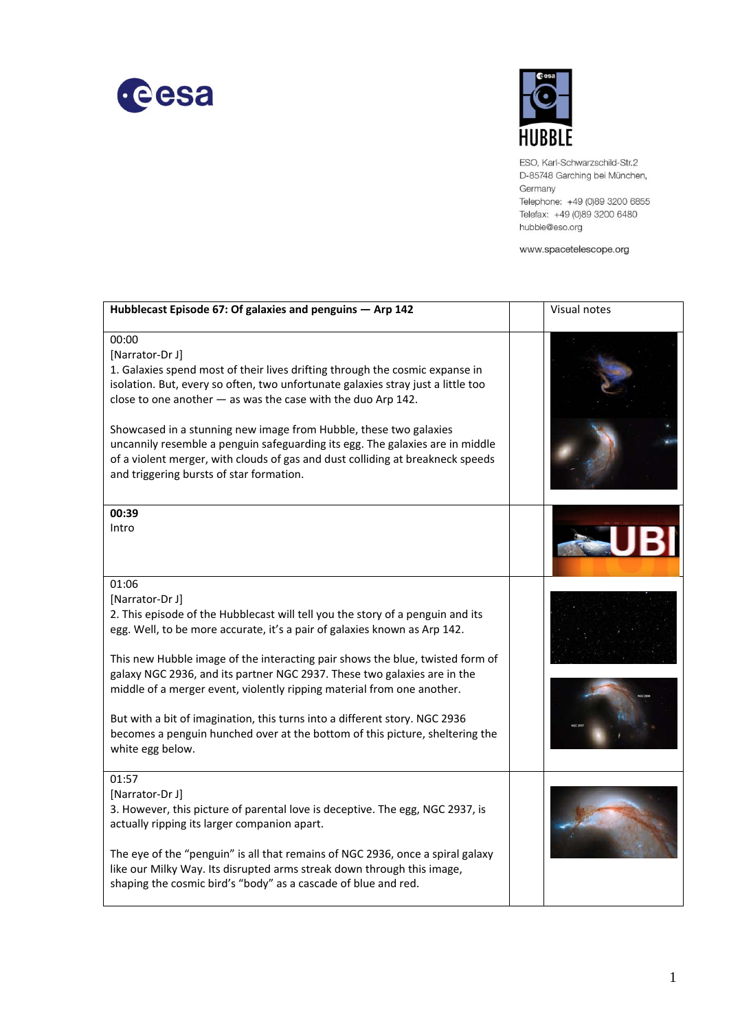



ESO, Karl-Schwarzschild-Str.2 D-85748 Garching bei München, Germany Telephone: +49 (0)89 3200 6855 Telefax: +49 (0)89 3200 6480 hubble@eso.org

www.spacetelescope.org

| Hubblecast Episode 67: Of galaxies and penguins - Arp 142                                                                                                                                                                                                                                                                                                                                                                                                                                                                                                                                                        | Visual notes |
|------------------------------------------------------------------------------------------------------------------------------------------------------------------------------------------------------------------------------------------------------------------------------------------------------------------------------------------------------------------------------------------------------------------------------------------------------------------------------------------------------------------------------------------------------------------------------------------------------------------|--------------|
| 00:00<br>[Narrator-Dr J]<br>1. Galaxies spend most of their lives drifting through the cosmic expanse in<br>isolation. But, every so often, two unfortunate galaxies stray just a little too<br>close to one another $-$ as was the case with the duo Arp 142.<br>Showcased in a stunning new image from Hubble, these two galaxies<br>uncannily resemble a penguin safeguarding its egg. The galaxies are in middle<br>of a violent merger, with clouds of gas and dust colliding at breakneck speeds<br>and triggering bursts of star formation.                                                               |              |
| 00:39<br>Intro                                                                                                                                                                                                                                                                                                                                                                                                                                                                                                                                                                                                   |              |
| 01:06<br>[Narrator-Dr J]<br>2. This episode of the Hubblecast will tell you the story of a penguin and its<br>egg. Well, to be more accurate, it's a pair of galaxies known as Arp 142.<br>This new Hubble image of the interacting pair shows the blue, twisted form of<br>galaxy NGC 2936, and its partner NGC 2937. These two galaxies are in the<br>middle of a merger event, violently ripping material from one another.<br>But with a bit of imagination, this turns into a different story. NGC 2936<br>becomes a penguin hunched over at the bottom of this picture, sheltering the<br>white egg below. |              |
| 01:57<br>[Narrator-Dr J]<br>3. However, this picture of parental love is deceptive. The egg, NGC 2937, is<br>actually ripping its larger companion apart.<br>The eye of the "penguin" is all that remains of NGC 2936, once a spiral galaxy<br>like our Milky Way. Its disrupted arms streak down through this image,<br>shaping the cosmic bird's "body" as a cascade of blue and red.                                                                                                                                                                                                                          |              |